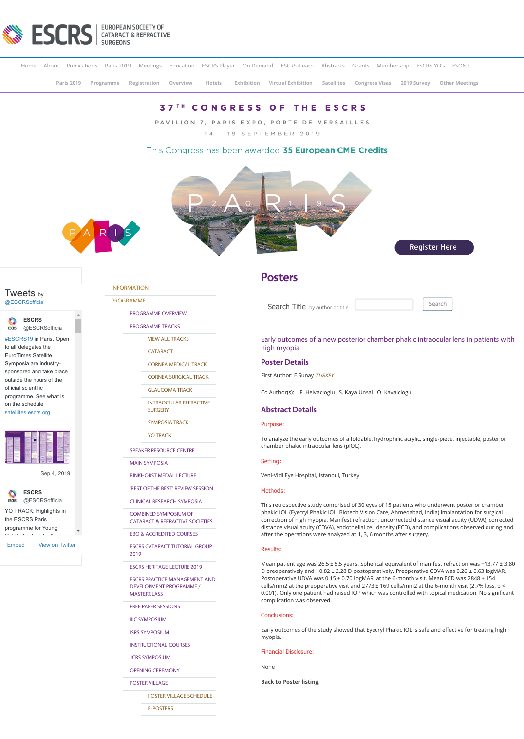

|  |  |  |  | Home About Publications Paris 2019 Meetings Education ESCRS Player On Demand ESCRS iLearn Abstracts Grants Membership ESCRS YO's ESONT |  |  |  |
|--|--|--|--|----------------------------------------------------------------------------------------------------------------------------------------|--|--|--|
|  |  |  |  | Paris 2019 Programme Registration Overview Hotels Exhibition Virtual Exhibition Satellites Congress Visas 2019 Survey Other Meetings   |  |  |  |
|  |  |  |  |                                                                                                                                        |  |  |  |

# **37TH CONGRESS OF THE ESCRS**

PAVILION 7, PARIS EXPO, PORTE DE VERSAILLES 14 - 18 SEPTEMBER 2019

## This Congress has been awarded 35 European CME Credits







**ESCRS** [@ESCRSofficia](https://twitter.com/ESCRSofficial)

[#ESCRS19](https://twitter.com/hashtag/ESCRS19?src=hash) in Paris. Open to all delegates the EuroTimes Satellite Symposia are industrysponsored and take place outside the hours of the official scientific programme. See what is

on the schedule [satellites.escrs.org](https://t.co/3xG4psOegg)



[Sep 4, 2019](https://twitter.com/ESCRSofficial/status/1169282841303273472)



[Embed](https://publish.twitter.com/?url=https%3A%2F%2Ftwitter.com%2FESCRSofficial) [View on Twitter](https://twitter.com/ESCRSofficial)

[INFORMATION](https://www.escrs.org/paris2019/default.asp)

[PROGRAMME](https://www.escrs.org/paris2019/default.asp)

[PROGRAMME OVERVIEW](https://www.escrs.org/paris2019/programme/prog_overview.asp)

[PROGRAMME TRACKS](javascript:void(0);)

[VIEW ALL TRACKS](https://www.escrs.org/paris2019/programme/tracks.asp)

**[CATARACT](https://www.escrs.org/paris2019/programme/downloads/Tracks_Cataract_and_Refractive.pdf)** 

[CORNEA MEDICAL TRACK](https://www.escrs.org/paris2019/programme/downloads/Tracks_Cornea_Medical_Track.pdf)

[CORNEA SURGICAL TRACK](https://www.escrs.org/paris2019/programme/downloads/Tracks_Cornea_Surgical_Track.pdf) [GLAUCOMA TRACK](https://www.escrs.org/paris2019/programme/downloads/Track_Glaucoma.pdf)

[INTRAOCULAR REFRACTIVE](https://www.escrs.org/paris2019/programme/downloads/Tracks_Intraocular_Refractive_Surgery.pdf)

**SURGERY** 

[SYMPOSIA TRACK](https://www.escrs.org/paris2019/programme/downloads/Tracks_Symposia.pdf)

[YO TRACK](https://www.escrs.org/paris2019/programme/downloads/Tracks_Young_Ophthalmologists.pdf)

[SPEAKER RESOURCE CENTRE](https://2019escr.smarteventscloud.com/content/login.do)

[MAIN SYMPOSIA](https://www.escrs.org/paris2019/programme/main-symposia.asp)

[BINKHORST MEDAL LECTURE](https://www.escrs.org/paris2019/programme/Binkhorst_Medal_Lecture.asp)

['BEST OF THE BEST' REVIEW SESSION](https://www.escrs.org/paris2019/programme/best-of-the-best.asp)

[CLINICAL RESEARCH SYMPOSIA](https://www.escrs.org/paris2019/programme/clinical-research.asp)

COMBINED SYMPOSIUM OF [CATARACT & REFRACTIVE SOCIETIES](https://www.escrs.org/paris2019/programme/cscrs.asp)

[EBO & ACCREDITED COURSES](https://www.escrs.org/paris2019/programme/EBO&Accredited-Courses.asp)

[ESCRS CATARACT TUTORIAL GROUP](https://www.escrs.org/paris2019/programme/Cataract_Tutorial_Group.asp) 2019

[ESCRS HERITAGE LECTURE 2019](https://www.escrs.org/paris2019/programme/ESCRS_Heritage_Lecture_2019.asp)

[ESCRS PRACTICE MANAGEMENT AND](https://www.escrs.org/paris2019/programme/ESCRS-Practice-Management-and-Development-Programme.asp) DEVELOPMENT PROGRAMME / MASTERCLASS

[FREE PAPER SESSIONS](javascript:void(0);)

[IIIC SYMPOSIUM](https://www.escrs.org/paris2019/programme/IIIC_symposium.asp)

[ISRS SYMPOSIUM](https://www.escrs.org/paris2019/programme/ISRS.asp)

[INSTRUCTIONAL COURSES](https://www.escrs.org/paris2019/programme/instructional-courses.asp?day=I)

[JCRS SYMPOSIUM](https://www.escrs.org/paris2019/programme/JCRS-symposium.asp)

[OPENING CEREMONY](https://www.escrs.org/paris2019/programme/Opening_Ceremony.asp)

[POSTER VILLAGE](javascript:void(0);)

[POSTER VILLAGE SCHEDULE](https://www.escrs.org/paris2019/programme/poster-village-overview.asp)

[E-POSTERS](https://www.escrs.org/paris2019/programme/poster-overview.asp)

# **Posters**

Search Title by author or title **Search** 

Early outcomes of a new posterior chamber phakic intraocular lens in patients with high myopia

## **Poster Details**

First Author: E.Sunay TURKEY

Co Author(s): F. Helvacioglu S. Kaya Unsal O. Kavalcioglu

### **Abstract Details**

## Purpose:

To analyze the early outcomes of a foldable, hydrophilic acrylic, single-piece, injectable, posterior chamber phakic intraocular lens (pIOL).

## Setting:

Veni-Vidi Eye Hospital, Istanbul, Turkey

### Methods:

This retrospective study comprised of 30 eyes of 15 patients who underwent posterior chamber phakic IOL (Eyecryl Phakic IOL, Biotech Vision Care, Ahmedabad, India) implantation for surgical correction of high myopia. Manifest refraction, uncorrected distance visual acuity (UDVA), corrected distance visual acuity (CDVA), endothelial cell density (ECD), and complications observed during and after the operations were analyzed at 1, 3, 6 months after surgery.

#### Results:

Mean patient age was 26,5 ± 5,5 years. Spherical equivalent of manifest refraction was −13.77 ± 3.80 D preoperatively and −0.82 ± 2.28 D postoperatively. Preoperative CDVA was 0.26 ± 0.63 logMAR. Postoperative UDVA was 0.15 ± 0.70 logMAR, at the 6-month visit. Mean ECD was 2848 ± 154 cells/mm2 at the preoperative visit and 2773 ± 169 cells/mm2 at the 6-month visit (2.7% loss, p < 0.001). Only one patient had raised IOP which was controlled with topical medication. No significant complication was observed.

### Conclusions:

Early outcomes of the study showed that Eyecryl Phakic IOL is safe and effective for treating high myopia.

Financial Disclosure:

None

**[Back to Poster listing](https://www.escrs.org/paris2019/programme/poster-overview.asp)**